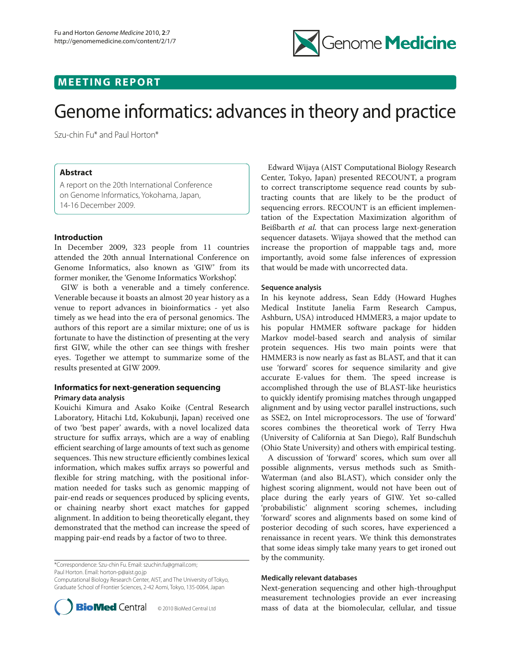

# **MEETING REPORT**

# Genome informatics: advances in theory and practice

Szu-chin Fu\* and Paul Horton\*

## **Abstract**

A report on the 20th International Conference on Genome Informatics, Yokohama, Japan, 14-16 December 2009.

#### **Introduction**

In December 2009, 323 people from 11 countries attended the 20th annual International Conference on Genome Informatics, also known as 'GIW' from its former moniker, the 'Genome Informatics Workshop'.

GIW is both a venerable and a timely conference. Venerable because it boasts an almost 20 year history as a venue to report advances in bioinformatics - yet also timely as we head into the era of personal genomics. The authors of this report are a similar mixture; one of us is fortunate to have the distinction of presenting at the very first GIW, while the other can see things with fresher eyes. Together we attempt to summarize some of the results presented at GIW 2009.

### **Informatics for next-generation sequencing Primary data analysis**

Kouichi Kimura and Asako Koike (Central Research Laboratory, Hitachi Ltd, Kokubunji, Japan) received one of two 'best paper' awards, with a novel localized data structure for suffix arrays, which are a way of enabling efficient searching of large amounts of text such as genome sequences. This new structure efficiently combines lexical information, which makes suffix arrays so powerful and flexible for string matching, with the positional information needed for tasks such as genomic mapping of pair-end reads or sequences produced by splicing events, or chaining nearby short exact matches for gapped alignment. In addition to being theoretically elegant, they demonstrated that the method can increase the speed of mapping pair-end reads by a factor of two to three.

\*Correspondence: Szu-chin Fu. Email: szuchin.fu@gmail.com;

Paul Horton. Email: horton-p@aist.go.jp

Computational Biology Research Center, AIST, and The University of Tokyo, Graduate School of Frontier Sciences, 2-42 Aomi, Tokyo, 135-0064, Japan



Edward Wijaya (AIST Computational Biology Research Center, Tokyo, Japan) presented RECOUNT, a program to correct transcriptome sequence read counts by subtracting counts that are likely to be the product of sequencing errors. RECOUNT is an efficient implementation of the Expectation Maximization algorithm of Beißbarth *et al.* that can process large next-generation sequencer datasets. Wijaya showed that the method can increase the proportion of mappable tags and, more importantly, avoid some false inferences of expression that would be made with uncorrected data.

#### **Sequence analysis**

In his keynote address, Sean Eddy (Howard Hughes Medical Institute Janelia Farm Research Campus, Ashburn, USA) introduced HMMER3, a major update to his popular HMMER software package for hidden Markov model-based search and analysis of similar protein sequences. His two main points were that HMMER3 is now nearly as fast as BLAST, and that it can use 'forward' scores for sequence similarity and give accurate E-values for them. The speed increase is accomplished through the use of BLAST-like heuristics to quickly identify promising matches through ungapped alignment and by using vector parallel instructions, such as SSE2, on Intel microprocessors. The use of 'forward' scores combines the theoretical work of Terry Hwa (University of California at San Diego), Ralf Bundschuh (Ohio State University) and others with empirical testing.

A discussion of 'forward' scores, which sum over all possible alignments, versus methods such as Smith-Waterman (and also BLAST), which consider only the highest scoring alignment, would not have been out of place during the early years of GIW. Yet so-called 'probabilistic' alignment scoring schemes, including 'forward' scores and alignments based on some kind of posterior decoding of such scores, have experienced a renaissance in recent years. We think this demonstrates that some ideas simply take many years to get ironed out by the community.

#### **Medically relevant databases**

Next-generation sequencing and other high-throughput measurement technologies provide an ever increasing mass of data at the biomolecular, cellular, and tissue